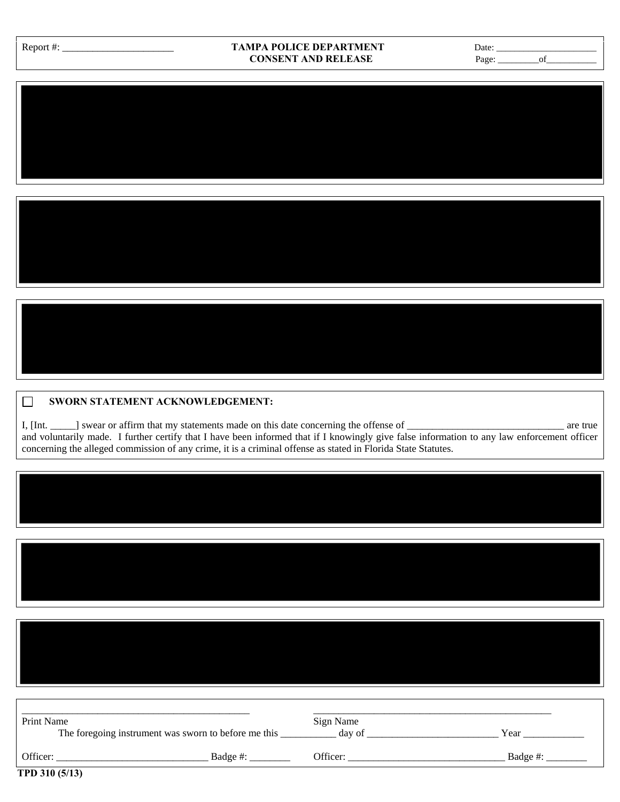| Report #: |  |
|-----------|--|
|           |  |

## Report #: \_\_\_\_\_\_\_\_\_\_\_\_\_\_\_\_\_\_\_\_\_\_ **TAMPA POLICE DEPARTMENT** Date: \_\_\_\_\_\_\_\_\_\_\_\_\_\_\_\_\_\_\_\_\_\_ **CONSENT AND RELEASE** Page: \_\_\_\_\_\_\_\_\_of\_\_\_\_\_\_\_\_\_\_\_

| <b>SWORN STATEMENT ACKNOWLEDGEMENT:</b> |
|-----------------------------------------|

I, [Int. \_\_\_\_\_] swear or affirm that my statements made on this date concerning the offense of \_\_\_\_\_\_\_\_\_\_\_\_\_\_\_\_\_\_\_\_\_\_\_\_\_\_\_\_\_\_\_ are true and voluntarily made. I further certify that I have been informed that if I knowingly give false information to any law enforcement officer concerning the alleged commission of any crime, it is a criminal offense as stated in Florida State Statutes.

| Print Name<br>The foregoing instrument was sworn to before me this |          | Sign Name<br>day of | Year     |
|--------------------------------------------------------------------|----------|---------------------|----------|
| Officer:                                                           | Badge #: | Officer:            | Badge #: |